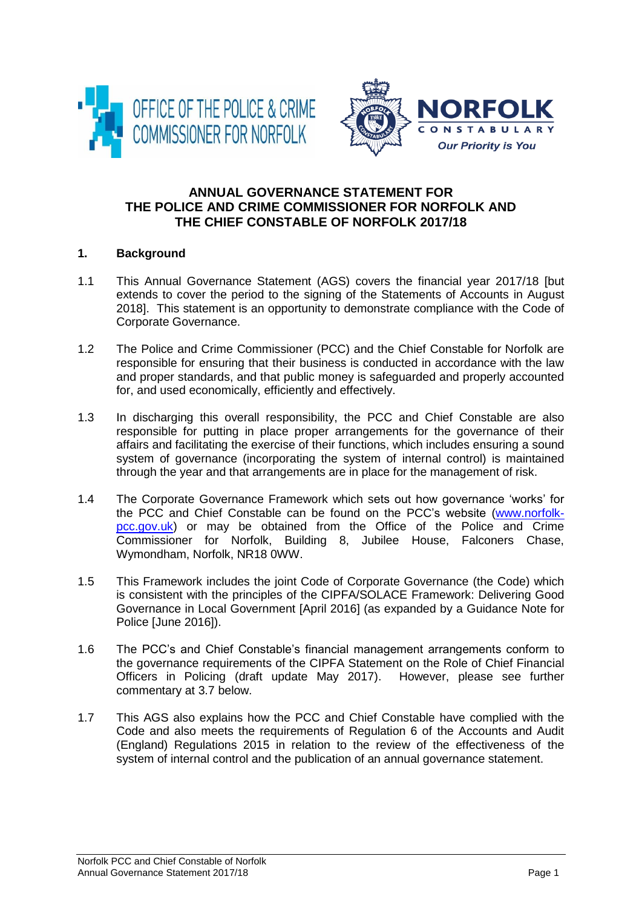



## **ANNUAL GOVERNANCE STATEMENT FOR THE POLICE AND CRIME COMMISSIONER FOR NORFOLK AND THE CHIEF CONSTABLE OF NORFOLK 2017/18**

## **1. Background**

- 1.1 This Annual Governance Statement (AGS) covers the financial year 2017/18 [but extends to cover the period to the signing of the Statements of Accounts in August 2018]. This statement is an opportunity to demonstrate compliance with the Code of Corporate Governance.
- 1.2 The Police and Crime Commissioner (PCC) and the Chief Constable for Norfolk are responsible for ensuring that their business is conducted in accordance with the law and proper standards, and that public money is safeguarded and properly accounted for, and used economically, efficiently and effectively.
- 1.3 In discharging this overall responsibility, the PCC and Chief Constable are also responsible for putting in place proper arrangements for the governance of their affairs and facilitating the exercise of their functions, which includes ensuring a sound system of governance (incorporating the system of internal control) is maintained through the year and that arrangements are in place for the management of risk.
- 1.4 The Corporate Governance Framework which sets out how governance 'works' for the PCC and Chief Constable can be found on the PCC's website [\(www.norfolk](http://www.norfolk-pcc.gov.uk/)[pcc.gov.uk\)](http://www.norfolk-pcc.gov.uk/) or may be obtained from the Office of the Police and Crime Commissioner for Norfolk, Building 8, Jubilee House, Falconers Chase, Wymondham, Norfolk, NR18 0WW.
- 1.5 This Framework includes the joint Code of Corporate Governance (the Code) which is consistent with the principles of the CIPFA/SOLACE Framework: Delivering Good Governance in Local Government [April 2016] (as expanded by a Guidance Note for Police [June 2016]).
- 1.6 The PCC's and Chief Constable's financial management arrangements conform to the governance requirements of the CIPFA Statement on the Role of Chief Financial Officers in Policing (draft update May 2017). However, please see further commentary at 3.7 below.
- 1.7 This AGS also explains how the PCC and Chief Constable have complied with the Code and also meets the requirements of Regulation 6 of the Accounts and Audit (England) Regulations 2015 in relation to the review of the effectiveness of the system of internal control and the publication of an annual governance statement.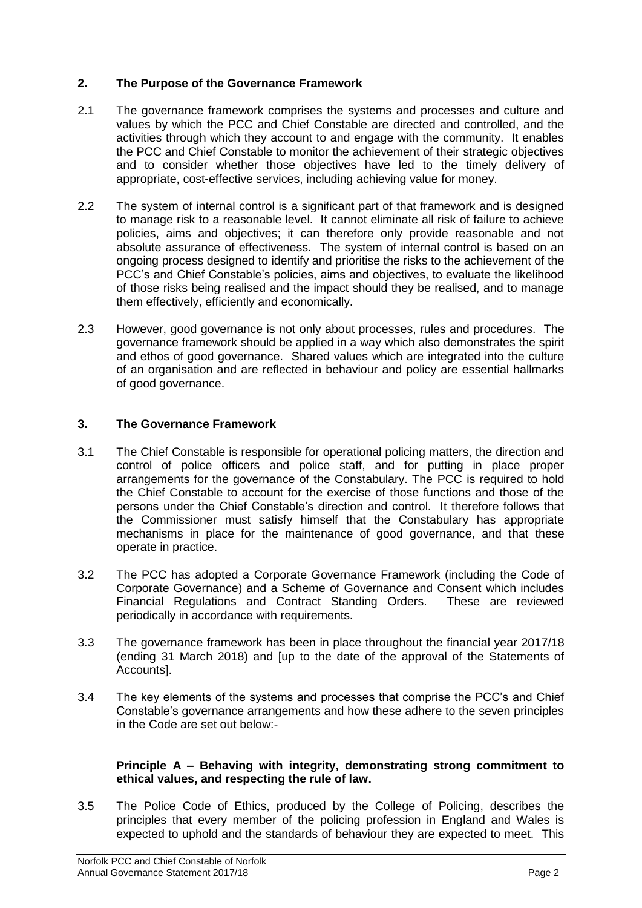## **2. The Purpose of the Governance Framework**

- 2.1 The governance framework comprises the systems and processes and culture and values by which the PCC and Chief Constable are directed and controlled, and the activities through which they account to and engage with the community. It enables the PCC and Chief Constable to monitor the achievement of their strategic objectives and to consider whether those objectives have led to the timely delivery of appropriate, cost-effective services, including achieving value for money.
- 2.2 The system of internal control is a significant part of that framework and is designed to manage risk to a reasonable level. It cannot eliminate all risk of failure to achieve policies, aims and objectives; it can therefore only provide reasonable and not absolute assurance of effectiveness. The system of internal control is based on an ongoing process designed to identify and prioritise the risks to the achievement of the PCC's and Chief Constable's policies, aims and objectives, to evaluate the likelihood of those risks being realised and the impact should they be realised, and to manage them effectively, efficiently and economically.
- 2.3 However, good governance is not only about processes, rules and procedures. The governance framework should be applied in a way which also demonstrates the spirit and ethos of good governance. Shared values which are integrated into the culture of an organisation and are reflected in behaviour and policy are essential hallmarks of good governance.

#### **3. The Governance Framework**

- 3.1 The Chief Constable is responsible for operational policing matters, the direction and control of police officers and police staff, and for putting in place proper arrangements for the governance of the Constabulary. The PCC is required to hold the Chief Constable to account for the exercise of those functions and those of the persons under the Chief Constable's direction and control. It therefore follows that the Commissioner must satisfy himself that the Constabulary has appropriate mechanisms in place for the maintenance of good governance, and that these operate in practice.
- 3.2 The PCC has adopted a Corporate Governance Framework (including the Code of Corporate Governance) and a Scheme of Governance and Consent which includes Financial Regulations and Contract Standing Orders. These are reviewed periodically in accordance with requirements.
- 3.3 The governance framework has been in place throughout the financial year 2017/18 (ending 31 March 2018) and [up to the date of the approval of the Statements of Accounts].
- 3.4 The key elements of the systems and processes that comprise the PCC's and Chief Constable's governance arrangements and how these adhere to the seven principles in the Code are set out below:-

#### **Principle A – Behaving with integrity, demonstrating strong commitment to ethical values, and respecting the rule of law.**

3.5 The Police Code of Ethics, produced by the College of Policing, describes the principles that every member of the policing profession in England and Wales is expected to uphold and the standards of behaviour they are expected to meet. This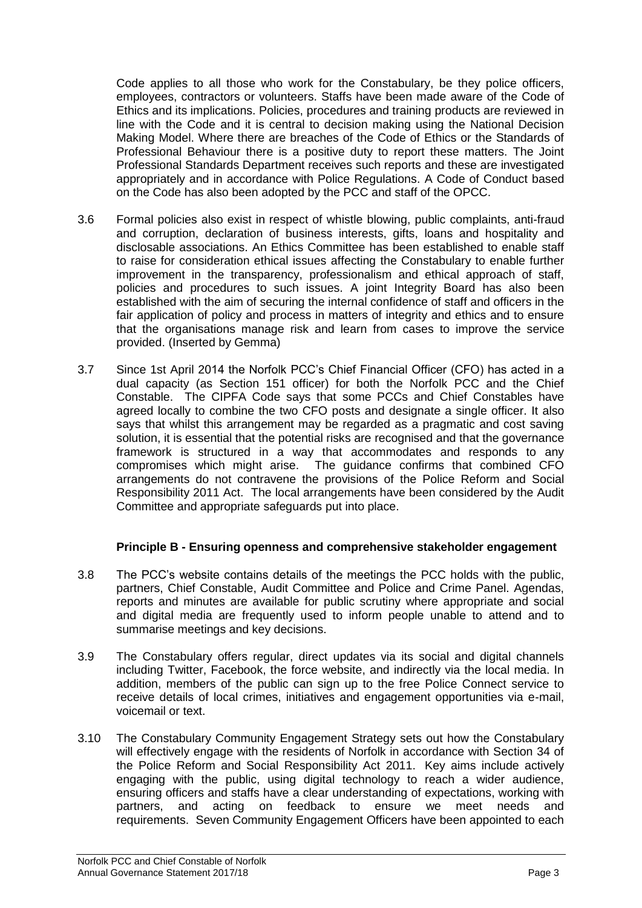Code applies to all those who work for the Constabulary, be they police officers, employees, contractors or volunteers. Staffs have been made aware of the Code of Ethics and its implications. Policies, procedures and training products are reviewed in line with the Code and it is central to decision making using the National Decision Making Model. Where there are breaches of the Code of Ethics or the Standards of Professional Behaviour there is a positive duty to report these matters. The Joint Professional Standards Department receives such reports and these are investigated appropriately and in accordance with Police Regulations. A Code of Conduct based on the Code has also been adopted by the PCC and staff of the OPCC.

- 3.6 Formal policies also exist in respect of whistle blowing, public complaints, anti-fraud and corruption, declaration of business interests, gifts, loans and hospitality and disclosable associations. An Ethics Committee has been established to enable staff to raise for consideration ethical issues affecting the Constabulary to enable further improvement in the transparency, professionalism and ethical approach of staff, policies and procedures to such issues. A joint Integrity Board has also been established with the aim of securing the internal confidence of staff and officers in the fair application of policy and process in matters of integrity and ethics and to ensure that the organisations manage risk and learn from cases to improve the service provided. (Inserted by Gemma)
- 3.7 Since 1st April 2014 the Norfolk PCC's Chief Financial Officer (CFO) has acted in a dual capacity (as Section 151 officer) for both the Norfolk PCC and the Chief Constable. The CIPFA Code says that some PCCs and Chief Constables have agreed locally to combine the two CFO posts and designate a single officer. It also says that whilst this arrangement may be regarded as a pragmatic and cost saving solution, it is essential that the potential risks are recognised and that the governance framework is structured in a way that accommodates and responds to any compromises which might arise. The guidance confirms that combined CFO arrangements do not contravene the provisions of the Police Reform and Social Responsibility 2011 Act. The local arrangements have been considered by the Audit Committee and appropriate safeguards put into place.

## **Principle B - Ensuring openness and comprehensive stakeholder engagement**

- 3.8 The PCC's website contains details of the meetings the PCC holds with the public, partners, Chief Constable, Audit Committee and Police and Crime Panel. Agendas, reports and minutes are available for public scrutiny where appropriate and social and digital media are frequently used to inform people unable to attend and to summarise meetings and key decisions.
- 3.9 The Constabulary offers regular, direct updates via its social and digital channels including Twitter, Facebook, the force website, and indirectly via the local media. In addition, members of the public can sign up to the free Police Connect service to receive details of local crimes, initiatives and engagement opportunities via e-mail, voicemail or text.
- 3.10 The Constabulary Community Engagement Strategy sets out how the Constabulary will effectively engage with the residents of Norfolk in accordance with Section 34 of the Police Reform and Social Responsibility Act 2011. Key aims include actively engaging with the public, using digital technology to reach a wider audience, ensuring officers and staffs have a clear understanding of expectations, working with partners, and acting on feedback to ensure we meet needs and requirements. Seven Community Engagement Officers have been appointed to each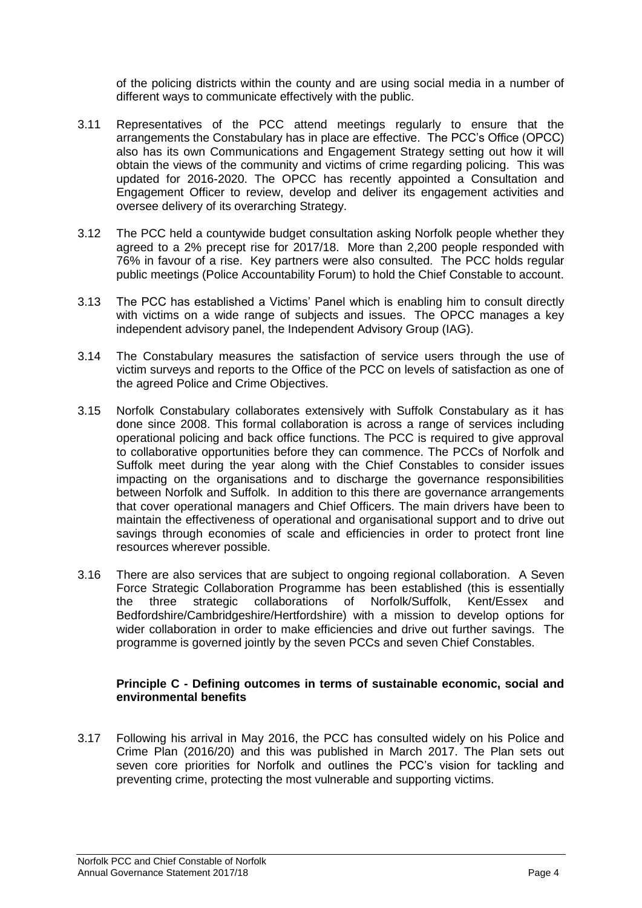of the policing districts within the county and are using social media in a number of different ways to communicate effectively with the public.

- 3.11 Representatives of the PCC attend meetings regularly to ensure that the arrangements the Constabulary has in place are effective. The PCC's Office (OPCC) also has its own Communications and Engagement Strategy setting out how it will obtain the views of the community and victims of crime regarding policing. This was updated for 2016-2020. The OPCC has recently appointed a Consultation and Engagement Officer to review, develop and deliver its engagement activities and oversee delivery of its overarching Strategy.
- 3.12 The PCC held a countywide budget consultation asking Norfolk people whether they agreed to a 2% precept rise for 2017/18. More than 2,200 people responded with 76% in favour of a rise. Key partners were also consulted. The PCC holds regular public meetings (Police Accountability Forum) to hold the Chief Constable to account.
- 3.13 The PCC has established a Victims' Panel which is enabling him to consult directly with victims on a wide range of subjects and issues. The OPCC manages a key independent advisory panel, the Independent Advisory Group (IAG).
- 3.14 The Constabulary measures the satisfaction of service users through the use of victim surveys and reports to the Office of the PCC on levels of satisfaction as one of the agreed Police and Crime Objectives.
- 3.15 Norfolk Constabulary collaborates extensively with Suffolk Constabulary as it has done since 2008. This formal collaboration is across a range of services including operational policing and back office functions. The PCC is required to give approval to collaborative opportunities before they can commence. The PCCs of Norfolk and Suffolk meet during the year along with the Chief Constables to consider issues impacting on the organisations and to discharge the governance responsibilities between Norfolk and Suffolk. In addition to this there are governance arrangements that cover operational managers and Chief Officers. The main drivers have been to maintain the effectiveness of operational and organisational support and to drive out savings through economies of scale and efficiencies in order to protect front line resources wherever possible.
- 3.16 There are also services that are subject to ongoing regional collaboration. A Seven Force Strategic Collaboration Programme has been established (this is essentially the three strategic collaborations of Norfolk/Suffolk, Kent/Essex and Bedfordshire/Cambridgeshire/Hertfordshire) with a mission to develop options for wider collaboration in order to make efficiencies and drive out further savings. The programme is governed jointly by the seven PCCs and seven Chief Constables.

#### **Principle C - Defining outcomes in terms of sustainable economic, social and environmental benefits**

3.17 Following his arrival in May 2016, the PCC has consulted widely on his Police and Crime Plan (2016/20) and this was published in March 2017. The Plan sets out seven core priorities for Norfolk and outlines the PCC's vision for tackling and preventing crime, protecting the most vulnerable and supporting victims.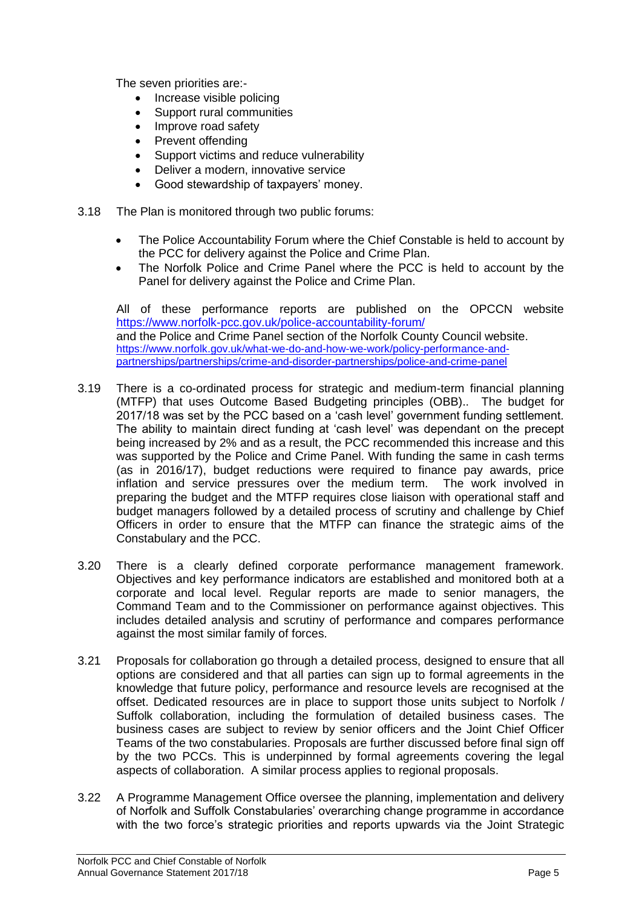The seven priorities are:-

- Increase visible policing
- Support rural communities
- Improve road safety
- Prevent offending
- Support victims and reduce vulnerability
- Deliver a modern, innovative service
- Good stewardship of taxpayers' money.
- 3.18 The Plan is monitored through two public forums:
	- The Police Accountability Forum where the Chief Constable is held to account by the PCC for delivery against the Police and Crime Plan.
	- The Norfolk Police and Crime Panel where the PCC is held to account by the Panel for delivery against the Police and Crime Plan.

All of these performance reports are published on the OPCCN website <https://www.norfolk-pcc.gov.uk/police-accountability-forum/> and the Police and Crime Panel section of the Norfolk County Council website. [https://www.norfolk.gov.uk/what-we-do-and-how-we-work/policy-performance-and](https://www.norfolk.gov.uk/what-we-do-and-how-we-work/policy-performance-and-partnerships/partnerships/crime-and-disorder-partnerships/police-and-crime-panel)[partnerships/partnerships/crime-and-disorder-partnerships/police-and-crime-panel](https://www.norfolk.gov.uk/what-we-do-and-how-we-work/policy-performance-and-partnerships/partnerships/crime-and-disorder-partnerships/police-and-crime-panel)

- 3.19 There is a co-ordinated process for strategic and medium-term financial planning (MTFP) that uses Outcome Based Budgeting principles (OBB).. The budget for 2017/18 was set by the PCC based on a 'cash level' government funding settlement. The ability to maintain direct funding at 'cash level' was dependant on the precept being increased by 2% and as a result, the PCC recommended this increase and this was supported by the Police and Crime Panel. With funding the same in cash terms (as in 2016/17), budget reductions were required to finance pay awards, price inflation and service pressures over the medium term. The work involved in preparing the budget and the MTFP requires close liaison with operational staff and budget managers followed by a detailed process of scrutiny and challenge by Chief Officers in order to ensure that the MTFP can finance the strategic aims of the Constabulary and the PCC.
- 3.20 There is a clearly defined corporate performance management framework. Objectives and key performance indicators are established and monitored both at a corporate and local level. Regular reports are made to senior managers, the Command Team and to the Commissioner on performance against objectives. This includes detailed analysis and scrutiny of performance and compares performance against the most similar family of forces.
- 3.21 Proposals for collaboration go through a detailed process, designed to ensure that all options are considered and that all parties can sign up to formal agreements in the knowledge that future policy, performance and resource levels are recognised at the offset. Dedicated resources are in place to support those units subject to Norfolk / Suffolk collaboration, including the formulation of detailed business cases. The business cases are subject to review by senior officers and the Joint Chief Officer Teams of the two constabularies. Proposals are further discussed before final sign off by the two PCCs. This is underpinned by formal agreements covering the legal aspects of collaboration. A similar process applies to regional proposals.
- 3.22 A Programme Management Office oversee the planning, implementation and delivery of Norfolk and Suffolk Constabularies' overarching change programme in accordance with the two force's strategic priorities and reports upwards via the Joint Strategic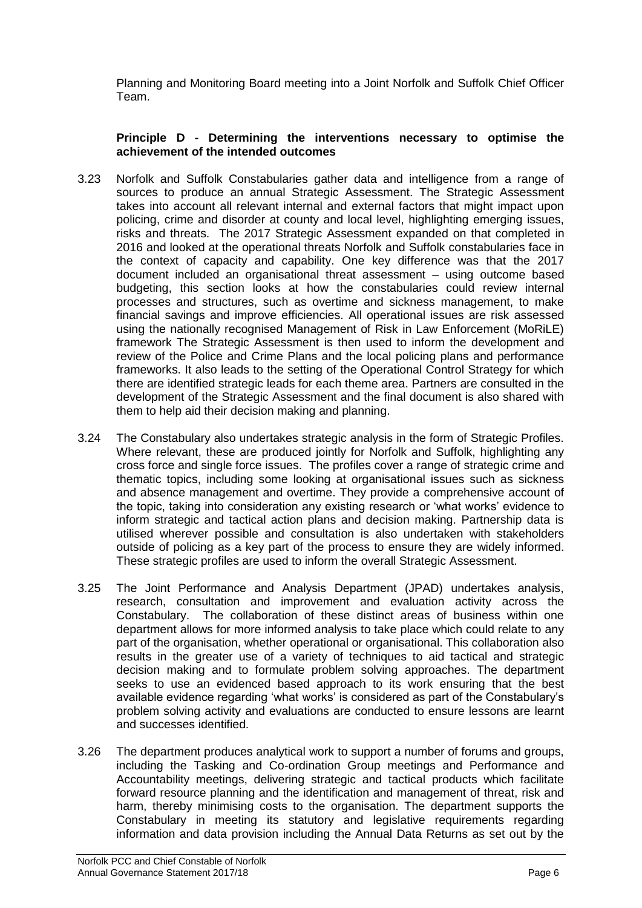Planning and Monitoring Board meeting into a Joint Norfolk and Suffolk Chief Officer Team.

### **Principle D - Determining the interventions necessary to optimise the achievement of the intended outcomes**

- 3.23 Norfolk and Suffolk Constabularies gather data and intelligence from a range of sources to produce an annual Strategic Assessment. The Strategic Assessment takes into account all relevant internal and external factors that might impact upon policing, crime and disorder at county and local level, highlighting emerging issues, risks and threats. The 2017 Strategic Assessment expanded on that completed in 2016 and looked at the operational threats Norfolk and Suffolk constabularies face in the context of capacity and capability. One key difference was that the 2017 document included an organisational threat assessment – using outcome based budgeting, this section looks at how the constabularies could review internal processes and structures, such as overtime and sickness management, to make financial savings and improve efficiencies. All operational issues are risk assessed using the nationally recognised Management of Risk in Law Enforcement (MoRiLE) framework The Strategic Assessment is then used to inform the development and review of the Police and Crime Plans and the local policing plans and performance frameworks. It also leads to the setting of the Operational Control Strategy for which there are identified strategic leads for each theme area. Partners are consulted in the development of the Strategic Assessment and the final document is also shared with them to help aid their decision making and planning.
- 3.24 The Constabulary also undertakes strategic analysis in the form of Strategic Profiles. Where relevant, these are produced jointly for Norfolk and Suffolk, highlighting any cross force and single force issues. The profiles cover a range of strategic crime and thematic topics, including some looking at organisational issues such as sickness and absence management and overtime. They provide a comprehensive account of the topic, taking into consideration any existing research or 'what works' evidence to inform strategic and tactical action plans and decision making. Partnership data is utilised wherever possible and consultation is also undertaken with stakeholders outside of policing as a key part of the process to ensure they are widely informed. These strategic profiles are used to inform the overall Strategic Assessment.
- 3.25 The Joint Performance and Analysis Department (JPAD) undertakes analysis, research, consultation and improvement and evaluation activity across the Constabulary. The collaboration of these distinct areas of business within one department allows for more informed analysis to take place which could relate to any part of the organisation, whether operational or organisational. This collaboration also results in the greater use of a variety of techniques to aid tactical and strategic decision making and to formulate problem solving approaches. The department seeks to use an evidenced based approach to its work ensuring that the best available evidence regarding 'what works' is considered as part of the Constabulary's problem solving activity and evaluations are conducted to ensure lessons are learnt and successes identified.
- 3.26 The department produces analytical work to support a number of forums and groups, including the Tasking and Co-ordination Group meetings and Performance and Accountability meetings, delivering strategic and tactical products which facilitate forward resource planning and the identification and management of threat, risk and harm, thereby minimising costs to the organisation. The department supports the Constabulary in meeting its statutory and legislative requirements regarding information and data provision including the Annual Data Returns as set out by the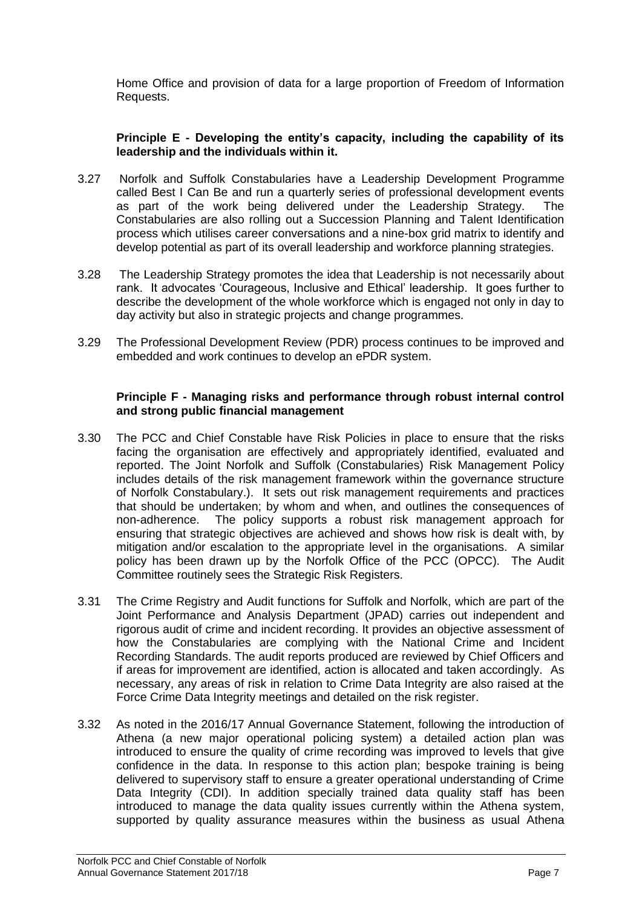Home Office and provision of data for a large proportion of Freedom of Information Requests.

#### **Principle E - Developing the entity's capacity, including the capability of its leadership and the individuals within it.**

- 3.27 Norfolk and Suffolk Constabularies have a Leadership Development Programme called Best I Can Be and run a quarterly series of professional development events as part of the work being delivered under the Leadership Strategy. The Constabularies are also rolling out a Succession Planning and Talent Identification process which utilises career conversations and a nine-box grid matrix to identify and develop potential as part of its overall leadership and workforce planning strategies.
- 3.28 The Leadership Strategy promotes the idea that Leadership is not necessarily about rank. It advocates 'Courageous, Inclusive and Ethical' leadership. It goes further to describe the development of the whole workforce which is engaged not only in day to day activity but also in strategic projects and change programmes.
- 3.29 The Professional Development Review (PDR) process continues to be improved and embedded and work continues to develop an ePDR system.

#### **Principle F - Managing risks and performance through robust internal control and strong public financial management**

- 3.30 The PCC and Chief Constable have Risk Policies in place to ensure that the risks facing the organisation are effectively and appropriately identified, evaluated and reported. The Joint Norfolk and Suffolk (Constabularies) Risk Management Policy includes details of the risk management framework within the governance structure of Norfolk Constabulary.). It sets out risk management requirements and practices that should be undertaken; by whom and when, and outlines the consequences of non-adherence. The policy supports a robust risk management approach for ensuring that strategic objectives are achieved and shows how risk is dealt with, by mitigation and/or escalation to the appropriate level in the organisations. A similar policy has been drawn up by the Norfolk Office of the PCC (OPCC). The Audit Committee routinely sees the Strategic Risk Registers.
- 3.31 The Crime Registry and Audit functions for Suffolk and Norfolk, which are part of the Joint Performance and Analysis Department (JPAD) carries out independent and rigorous audit of crime and incident recording. It provides an objective assessment of how the Constabularies are complying with the National Crime and Incident Recording Standards. The audit reports produced are reviewed by Chief Officers and if areas for improvement are identified, action is allocated and taken accordingly. As necessary, any areas of risk in relation to Crime Data Integrity are also raised at the Force Crime Data Integrity meetings and detailed on the risk register.
- 3.32 As noted in the 2016/17 Annual Governance Statement, following the introduction of Athena (a new major operational policing system) a detailed action plan was introduced to ensure the quality of crime recording was improved to levels that give confidence in the data. In response to this action plan; bespoke training is being delivered to supervisory staff to ensure a greater operational understanding of Crime Data Integrity (CDI). In addition specially trained data quality staff has been introduced to manage the data quality issues currently within the Athena system, supported by quality assurance measures within the business as usual Athena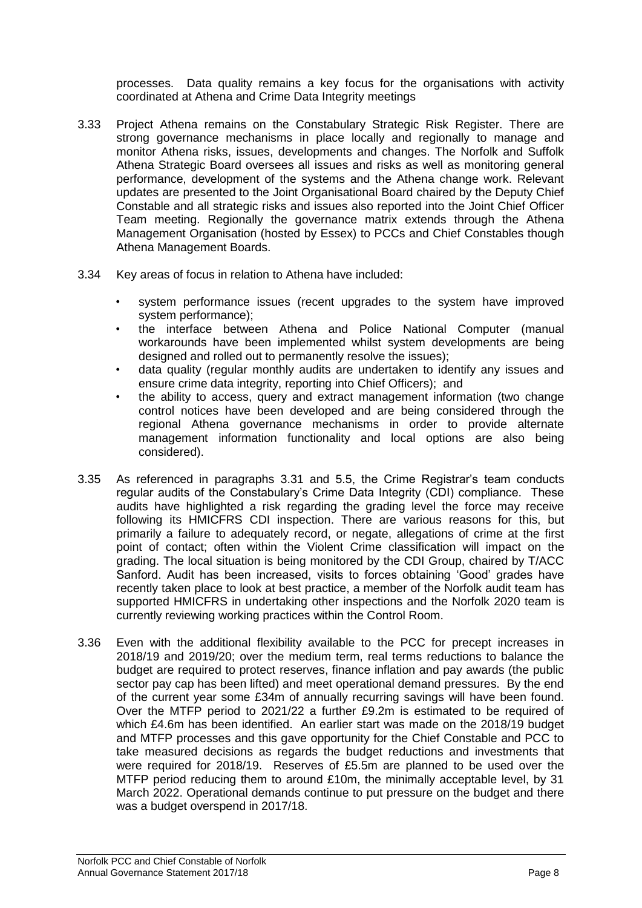processes. Data quality remains a key focus for the organisations with activity coordinated at Athena and Crime Data Integrity meetings

- 3.33 Project Athena remains on the Constabulary Strategic Risk Register. There are strong governance mechanisms in place locally and regionally to manage and monitor Athena risks, issues, developments and changes. The Norfolk and Suffolk Athena Strategic Board oversees all issues and risks as well as monitoring general performance, development of the systems and the Athena change work. Relevant updates are presented to the Joint Organisational Board chaired by the Deputy Chief Constable and all strategic risks and issues also reported into the Joint Chief Officer Team meeting. Regionally the governance matrix extends through the Athena Management Organisation (hosted by Essex) to PCCs and Chief Constables though Athena Management Boards.
- 3.34 Key areas of focus in relation to Athena have included:
	- system performance issues (recent upgrades to the system have improved system performance);
	- the interface between Athena and Police National Computer (manual workarounds have been implemented whilst system developments are being designed and rolled out to permanently resolve the issues);
	- data quality (regular monthly audits are undertaken to identify any issues and ensure crime data integrity, reporting into Chief Officers); and
	- the ability to access, query and extract management information (two change control notices have been developed and are being considered through the regional Athena governance mechanisms in order to provide alternate management information functionality and local options are also being considered).
- 3.35 As referenced in paragraphs 3.31 and 5.5, the Crime Registrar's team conducts regular audits of the Constabulary's Crime Data Integrity (CDI) compliance. These audits have highlighted a risk regarding the grading level the force may receive following its HMICFRS CDI inspection. There are various reasons for this, but primarily a failure to adequately record, or negate, allegations of crime at the first point of contact; often within the Violent Crime classification will impact on the grading. The local situation is being monitored by the CDI Group, chaired by T/ACC Sanford. Audit has been increased, visits to forces obtaining 'Good' grades have recently taken place to look at best practice, a member of the Norfolk audit team has supported HMICFRS in undertaking other inspections and the Norfolk 2020 team is currently reviewing working practices within the Control Room.
- 3.36 Even with the additional flexibility available to the PCC for precept increases in 2018/19 and 2019/20; over the medium term, real terms reductions to balance the budget are required to protect reserves, finance inflation and pay awards (the public sector pay cap has been lifted) and meet operational demand pressures. By the end of the current year some £34m of annually recurring savings will have been found. Over the MTFP period to 2021/22 a further £9.2m is estimated to be required of which £4.6m has been identified. An earlier start was made on the 2018/19 budget and MTFP processes and this gave opportunity for the Chief Constable and PCC to take measured decisions as regards the budget reductions and investments that were required for 2018/19. Reserves of £5.5m are planned to be used over the MTFP period reducing them to around £10m, the minimally acceptable level, by 31 March 2022. Operational demands continue to put pressure on the budget and there was a budget overspend in 2017/18.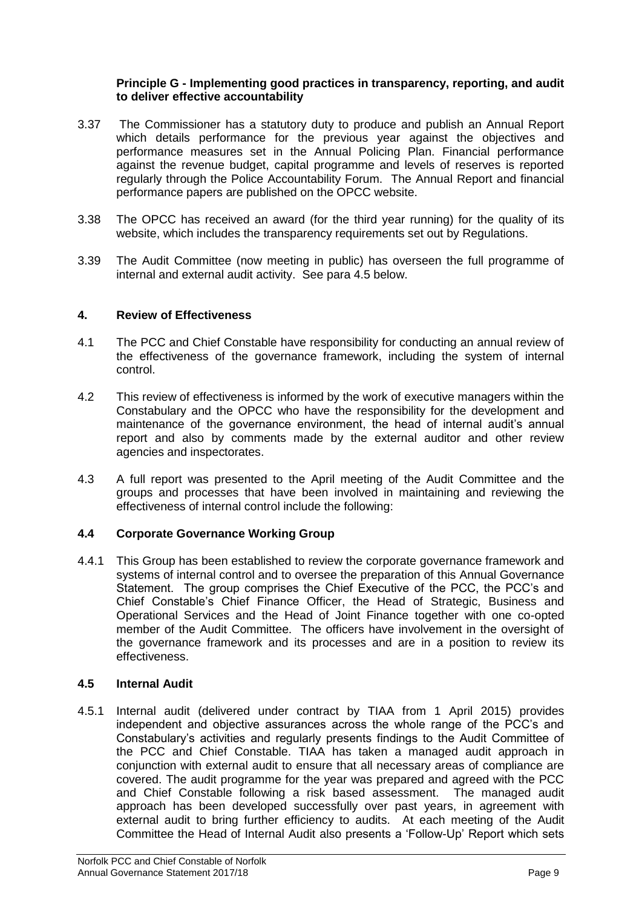#### **Principle G - Implementing good practices in transparency, reporting, and audit to deliver effective accountability**

- 3.37 The Commissioner has a statutory duty to produce and publish an Annual Report which details performance for the previous year against the objectives and performance measures set in the Annual Policing Plan. Financial performance against the revenue budget, capital programme and levels of reserves is reported regularly through the Police Accountability Forum. The Annual Report and financial performance papers are published on the OPCC website.
- 3.38 The OPCC has received an award (for the third year running) for the quality of its website, which includes the transparency requirements set out by Regulations.
- 3.39 The Audit Committee (now meeting in public) has overseen the full programme of internal and external audit activity. See para 4.5 below.

#### **4. Review of Effectiveness**

- 4.1 The PCC and Chief Constable have responsibility for conducting an annual review of the effectiveness of the governance framework, including the system of internal control.
- 4.2 This review of effectiveness is informed by the work of executive managers within the Constabulary and the OPCC who have the responsibility for the development and maintenance of the governance environment, the head of internal audit's annual report and also by comments made by the external auditor and other review agencies and inspectorates.
- 4.3 A full report was presented to the April meeting of the Audit Committee and the groups and processes that have been involved in maintaining and reviewing the effectiveness of internal control include the following:

## **4.4 Corporate Governance Working Group**

4.4.1 This Group has been established to review the corporate governance framework and systems of internal control and to oversee the preparation of this Annual Governance Statement. The group comprises the Chief Executive of the PCC, the PCC's and Chief Constable's Chief Finance Officer, the Head of Strategic, Business and Operational Services and the Head of Joint Finance together with one co-opted member of the Audit Committee. The officers have involvement in the oversight of the governance framework and its processes and are in a position to review its effectiveness.

#### **4.5 Internal Audit**

4.5.1 Internal audit (delivered under contract by TIAA from 1 April 2015) provides independent and objective assurances across the whole range of the PCC's and Constabulary's activities and regularly presents findings to the Audit Committee of the PCC and Chief Constable. TIAA has taken a managed audit approach in conjunction with external audit to ensure that all necessary areas of compliance are covered. The audit programme for the year was prepared and agreed with the PCC and Chief Constable following a risk based assessment. The managed audit approach has been developed successfully over past years, in agreement with external audit to bring further efficiency to audits. At each meeting of the Audit Committee the Head of Internal Audit also presents a 'Follow-Up' Report which sets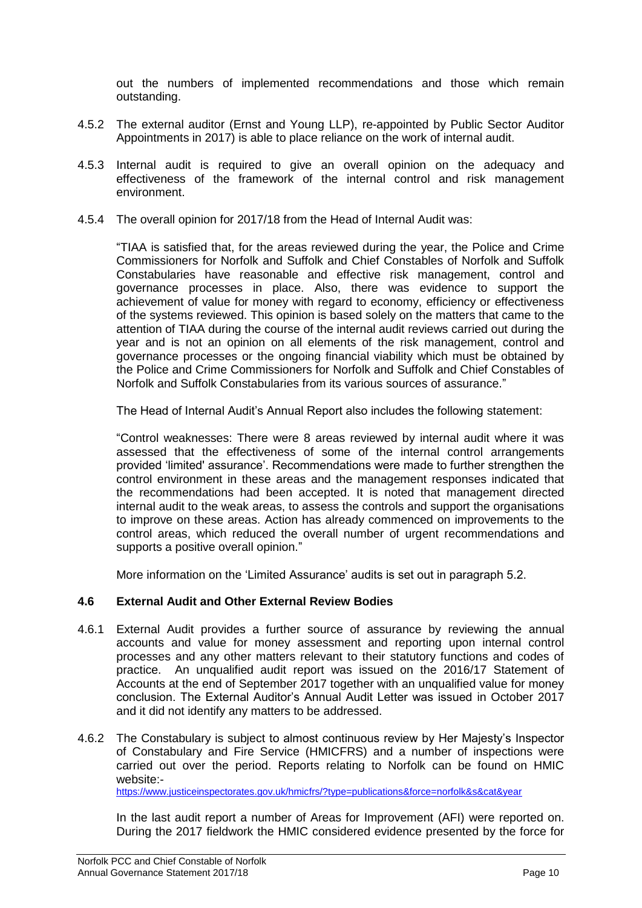out the numbers of implemented recommendations and those which remain outstanding.

- 4.5.2 The external auditor (Ernst and Young LLP), re-appointed by Public Sector Auditor Appointments in 2017) is able to place reliance on the work of internal audit.
- 4.5.3 Internal audit is required to give an overall opinion on the adequacy and effectiveness of the framework of the internal control and risk management environment.
- 4.5.4 The overall opinion for 2017/18 from the Head of Internal Audit was:

"TIAA is satisfied that, for the areas reviewed during the year, the Police and Crime Commissioners for Norfolk and Suffolk and Chief Constables of Norfolk and Suffolk Constabularies have reasonable and effective risk management, control and governance processes in place. Also, there was evidence to support the achievement of value for money with regard to economy, efficiency or effectiveness of the systems reviewed. This opinion is based solely on the matters that came to the attention of TIAA during the course of the internal audit reviews carried out during the year and is not an opinion on all elements of the risk management, control and governance processes or the ongoing financial viability which must be obtained by the Police and Crime Commissioners for Norfolk and Suffolk and Chief Constables of Norfolk and Suffolk Constabularies from its various sources of assurance."

The Head of Internal Audit's Annual Report also includes the following statement:

"Control weaknesses: There were 8 areas reviewed by internal audit where it was assessed that the effectiveness of some of the internal control arrangements provided 'limited' assurance'. Recommendations were made to further strengthen the control environment in these areas and the management responses indicated that the recommendations had been accepted. It is noted that management directed internal audit to the weak areas, to assess the controls and support the organisations to improve on these areas. Action has already commenced on improvements to the control areas, which reduced the overall number of urgent recommendations and supports a positive overall opinion."

More information on the 'Limited Assurance' audits is set out in paragraph 5.2.

#### **4.6 External Audit and Other External Review Bodies**

- 4.6.1 External Audit provides a further source of assurance by reviewing the annual accounts and value for money assessment and reporting upon internal control processes and any other matters relevant to their statutory functions and codes of practice. An unqualified audit report was issued on the 2016/17 Statement of Accounts at the end of September 2017 together with an unqualified value for money conclusion. The External Auditor's Annual Audit Letter was issued in October 2017 and it did not identify any matters to be addressed.
- 4.6.2 The Constabulary is subject to almost continuous review by Her Majesty's Inspector of Constabulary and Fire Service (HMICFRS) and a number of inspections were carried out over the period. Reports relating to Norfolk can be found on HMIC website:-

<https://www.justiceinspectorates.gov.uk/hmicfrs/?type=publications&force=norfolk&s&cat&year>

In the last audit report a number of Areas for Improvement (AFI) were reported on. During the 2017 fieldwork the HMIC considered evidence presented by the force for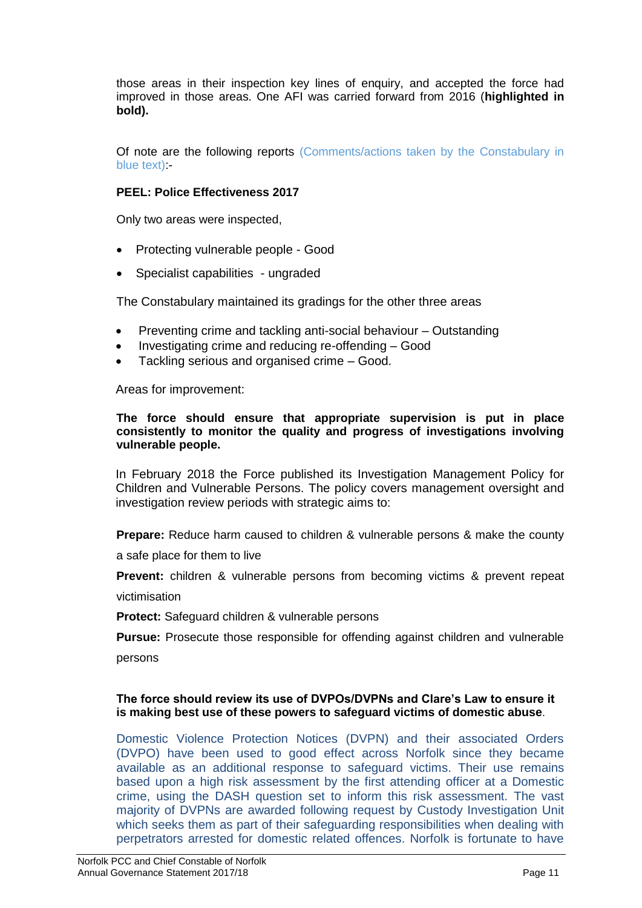those areas in their inspection key lines of enquiry, and accepted the force had improved in those areas. One AFI was carried forward from 2016 (**highlighted in bold).** 

Of note are the following reports (Comments/actions taken by the Constabulary in blue text) -

#### **PEEL: Police Effectiveness 2017**

Only two areas were inspected,

- Protecting vulnerable people Good
- Specialist capabilities ungraded

The Constabulary maintained its gradings for the other three areas

- Preventing crime and tackling anti-social behaviour Outstanding
- Investigating crime and reducing re-offending Good
- Tackling serious and organised crime Good.

Areas for improvement:

#### **The force should ensure that appropriate supervision is put in place consistently to monitor the quality and progress of investigations involving vulnerable people.**

In February 2018 the Force published its Investigation Management Policy for Children and Vulnerable Persons. The policy covers management oversight and investigation review periods with strategic aims to:

**Prepare:** Reduce harm caused to children & vulnerable persons & make the county

a safe place for them to live

**Prevent:** children & vulnerable persons from becoming victims & prevent repeat

victimisation

**Protect:** Safeguard children & vulnerable persons

**Pursue:** Prosecute those responsible for offending against children and vulnerable persons

#### **The force should review its use of DVPOs/DVPNs and Clare's Law to ensure it is making best use of these powers to safeguard victims of domestic abuse**.

Domestic Violence Protection Notices (DVPN) and their associated Orders (DVPO) have been used to good effect across Norfolk since they became available as an additional response to safeguard victims. Their use remains based upon a high risk assessment by the first attending officer at a Domestic crime, using the DASH question set to inform this risk assessment. The vast majority of DVPNs are awarded following request by Custody Investigation Unit which seeks them as part of their safeguarding responsibilities when dealing with perpetrators arrested for domestic related offences. Norfolk is fortunate to have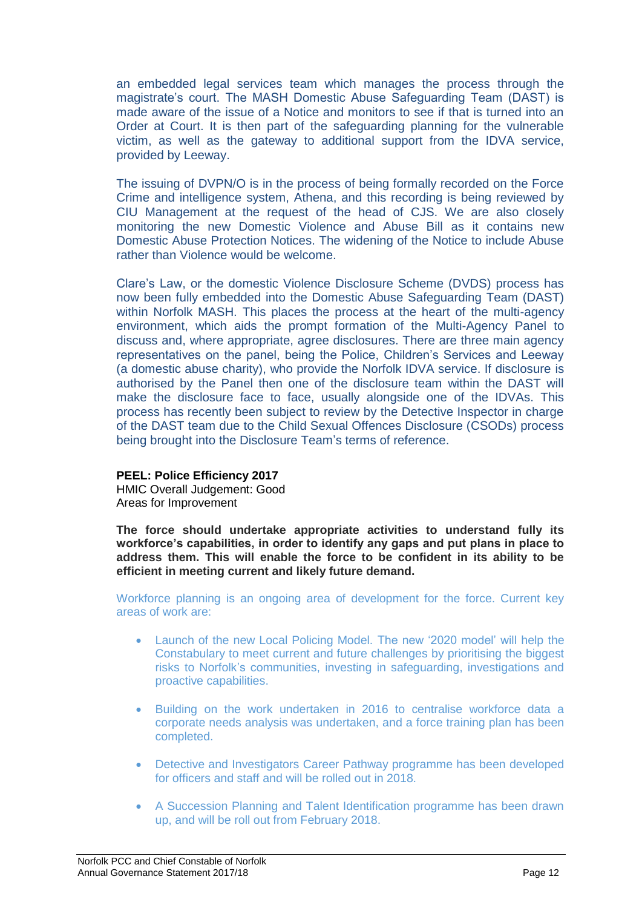an embedded legal services team which manages the process through the magistrate's court. The MASH Domestic Abuse Safeguarding Team (DAST) is made aware of the issue of a Notice and monitors to see if that is turned into an Order at Court. It is then part of the safeguarding planning for the vulnerable victim, as well as the gateway to additional support from the IDVA service, provided by Leeway.

The issuing of DVPN/O is in the process of being formally recorded on the Force Crime and intelligence system, Athena, and this recording is being reviewed by CIU Management at the request of the head of CJS. We are also closely monitoring the new Domestic Violence and Abuse Bill as it contains new Domestic Abuse Protection Notices. The widening of the Notice to include Abuse rather than Violence would be welcome.

Clare's Law, or the domestic Violence Disclosure Scheme (DVDS) process has now been fully embedded into the Domestic Abuse Safeguarding Team (DAST) within Norfolk MASH. This places the process at the heart of the multi-agency environment, which aids the prompt formation of the Multi-Agency Panel to discuss and, where appropriate, agree disclosures. There are three main agency representatives on the panel, being the Police, Children's Services and Leeway (a domestic abuse charity), who provide the Norfolk IDVA service. If disclosure is authorised by the Panel then one of the disclosure team within the DAST will make the disclosure face to face, usually alongside one of the IDVAs. This process has recently been subject to review by the Detective Inspector in charge of the DAST team due to the Child Sexual Offences Disclosure (CSODs) process being brought into the Disclosure Team's terms of reference.

#### **PEEL: Police Efficiency 2017**

HMIC Overall Judgement: Good Areas for Improvement

**The force should undertake appropriate activities to understand fully its workforce's capabilities, in order to identify any gaps and put plans in place to address them. This will enable the force to be confident in its ability to be efficient in meeting current and likely future demand.**

Workforce planning is an ongoing area of development for the force. Current key areas of work are:

- Launch of the new Local Policing Model. The new '2020 model' will help the Constabulary to meet current and future challenges by prioritising the biggest risks to Norfolk's communities, investing in safeguarding, investigations and proactive capabilities.
- Building on the work undertaken in 2016 to centralise workforce data a corporate needs analysis was undertaken, and a force training plan has been completed.
- Detective and Investigators Career Pathway programme has been developed for officers and staff and will be rolled out in 2018.
- A Succession Planning and Talent Identification programme has been drawn up, and will be roll out from February 2018.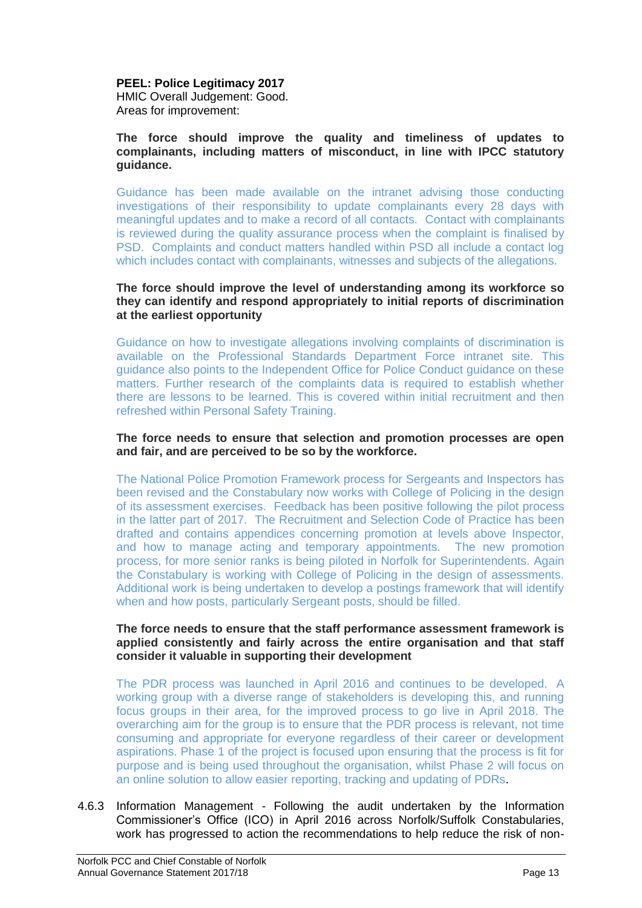#### **PEEL: Police Legitimacy 2017**

HMIC Overall Judgement: Good. Areas for improvement:

#### **The force should improve the quality and timeliness of updates to complainants, including matters of misconduct, in line with IPCC statutory guidance.**

Guidance has been made available on the intranet advising those conducting investigations of their responsibility to update complainants every 28 days with meaningful updates and to make a record of all contacts. Contact with complainants is reviewed during the quality assurance process when the complaint is finalised by PSD. Complaints and conduct matters handled within PSD all include a contact log which includes contact with complainants, witnesses and subjects of the allegations.

#### **The force should improve the level of understanding among its workforce so they can identify and respond appropriately to initial reports of discrimination at the earliest opportunity**

Guidance on how to investigate allegations involving complaints of discrimination is available on the Professional Standards Department Force intranet site. This guidance also points to the Independent Office for Police Conduct guidance on these matters. Further research of the complaints data is required to establish whether there are lessons to be learned. This is covered within initial recruitment and then refreshed within Personal Safety Training.

#### **The force needs to ensure that selection and promotion processes are open and fair, and are perceived to be so by the workforce.**

The National Police Promotion Framework process for Sergeants and Inspectors has been revised and the Constabulary now works with College of Policing in the design of its assessment exercises. Feedback has been positive following the pilot process in the latter part of 2017. The Recruitment and Selection Code of Practice has been drafted and contains appendices concerning promotion at levels above Inspector, and how to manage acting and temporary appointments. The new promotion process, for more senior ranks is being piloted in Norfolk for Superintendents. Again the Constabulary is working with College of Policing in the design of assessments. Additional work is being undertaken to develop a postings framework that will identify when and how posts, particularly Sergeant posts, should be filled.

#### **The force needs to ensure that the staff performance assessment framework is applied consistently and fairly across the entire organisation and that staff consider it valuable in supporting their development**

The PDR process was launched in April 2016 and continues to be developed. A working group with a diverse range of stakeholders is developing this, and running focus groups in their area, for the improved process to go live in April 2018. The overarching aim for the group is to ensure that the PDR process is relevant, not time consuming and appropriate for everyone regardless of their career or development aspirations. Phase 1 of the project is focused upon ensuring that the process is fit for purpose and is being used throughout the organisation, whilst Phase 2 will focus on an online solution to allow easier reporting, tracking and updating of PDRs.

4.6.3 Information Management - Following the audit undertaken by the Information Commissioner's Office (ICO) in April 2016 across Norfolk/Suffolk Constabularies, work has progressed to action the recommendations to help reduce the risk of non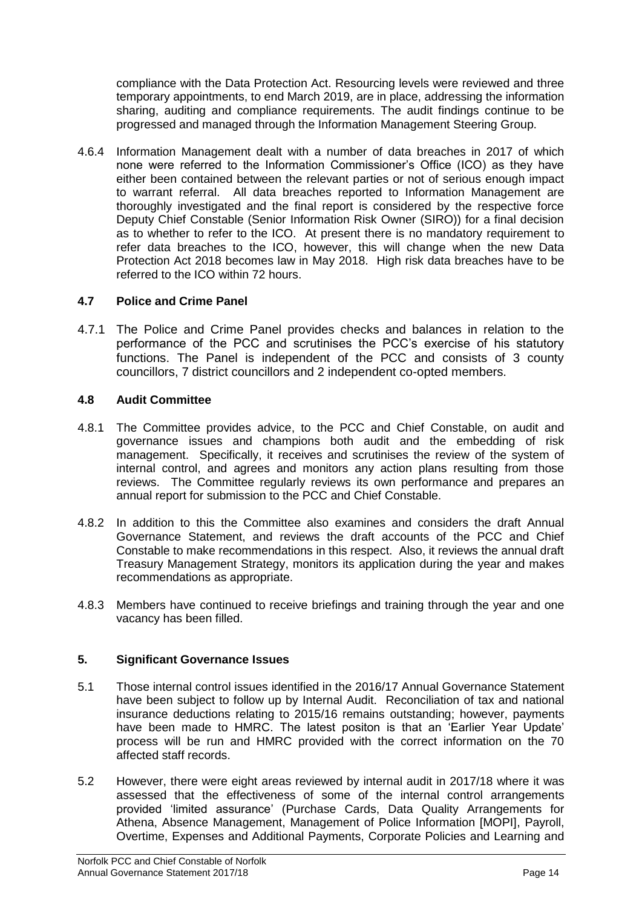compliance with the Data Protection Act. Resourcing levels were reviewed and three temporary appointments, to end March 2019, are in place, addressing the information sharing, auditing and compliance requirements. The audit findings continue to be progressed and managed through the Information Management Steering Group.

4.6.4 Information Management dealt with a number of data breaches in 2017 of which none were referred to the Information Commissioner's Office (ICO) as they have either been contained between the relevant parties or not of serious enough impact to warrant referral. All data breaches reported to Information Management are thoroughly investigated and the final report is considered by the respective force Deputy Chief Constable (Senior Information Risk Owner (SIRO)) for a final decision as to whether to refer to the ICO. At present there is no mandatory requirement to refer data breaches to the ICO, however, this will change when the new Data Protection Act 2018 becomes law in May 2018. High risk data breaches have to be referred to the ICO within 72 hours.

## **4.7 Police and Crime Panel**

4.7.1 The Police and Crime Panel provides checks and balances in relation to the performance of the PCC and scrutinises the PCC's exercise of his statutory functions. The Panel is independent of the PCC and consists of 3 county councillors, 7 district councillors and 2 independent co-opted members.

#### **4.8 Audit Committee**

- 4.8.1 The Committee provides advice, to the PCC and Chief Constable, on audit and governance issues and champions both audit and the embedding of risk management. Specifically, it receives and scrutinises the review of the system of internal control, and agrees and monitors any action plans resulting from those reviews. The Committee regularly reviews its own performance and prepares an annual report for submission to the PCC and Chief Constable.
- 4.8.2 In addition to this the Committee also examines and considers the draft Annual Governance Statement, and reviews the draft accounts of the PCC and Chief Constable to make recommendations in this respect. Also, it reviews the annual draft Treasury Management Strategy, monitors its application during the year and makes recommendations as appropriate.
- 4.8.3 Members have continued to receive briefings and training through the year and one vacancy has been filled.

## **5. Significant Governance Issues**

- 5.1 Those internal control issues identified in the 2016/17 Annual Governance Statement have been subject to follow up by Internal Audit. Reconciliation of tax and national insurance deductions relating to 2015/16 remains outstanding; however, payments have been made to HMRC. The latest positon is that an 'Earlier Year Update' process will be run and HMRC provided with the correct information on the 70 affected staff records.
- 5.2 However, there were eight areas reviewed by internal audit in 2017/18 where it was assessed that the effectiveness of some of the internal control arrangements provided 'limited assurance' (Purchase Cards, Data Quality Arrangements for Athena, Absence Management, Management of Police Information [MOPI], Payroll, Overtime, Expenses and Additional Payments, Corporate Policies and Learning and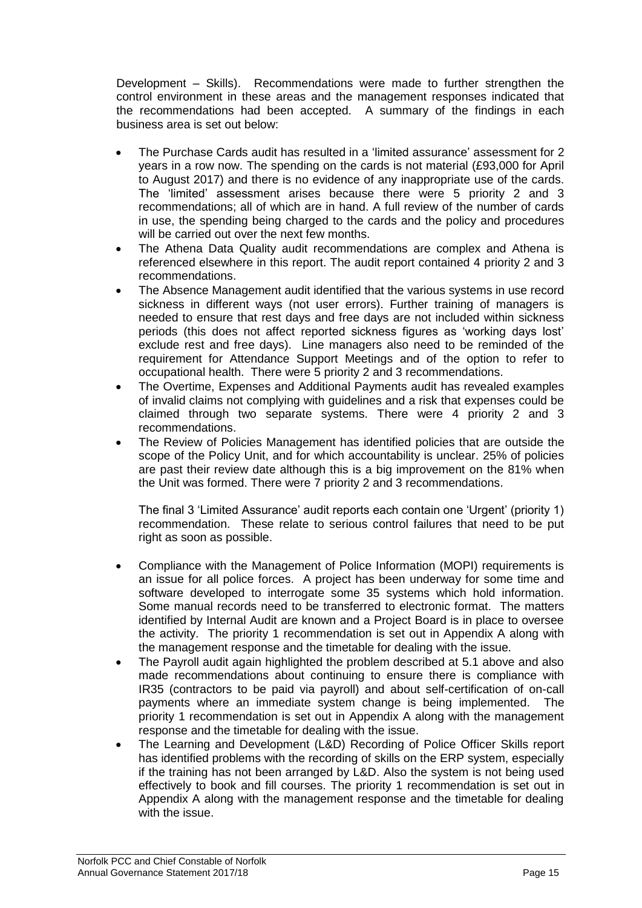Development – Skills). Recommendations were made to further strengthen the control environment in these areas and the management responses indicated that the recommendations had been accepted. A summary of the findings in each business area is set out below:

- The Purchase Cards audit has resulted in a 'limited assurance' assessment for 2 years in a row now. The spending on the cards is not material (£93,000 for April to August 2017) and there is no evidence of any inappropriate use of the cards. The 'limited' assessment arises because there were 5 priority 2 and 3 recommendations; all of which are in hand. A full review of the number of cards in use, the spending being charged to the cards and the policy and procedures will be carried out over the next few months.
- The Athena Data Quality audit recommendations are complex and Athena is referenced elsewhere in this report. The audit report contained 4 priority 2 and 3 recommendations.
- The Absence Management audit identified that the various systems in use record sickness in different ways (not user errors). Further training of managers is needed to ensure that rest days and free days are not included within sickness periods (this does not affect reported sickness figures as 'working days lost' exclude rest and free days). Line managers also need to be reminded of the requirement for Attendance Support Meetings and of the option to refer to occupational health. There were 5 priority 2 and 3 recommendations.
- The Overtime, Expenses and Additional Payments audit has revealed examples of invalid claims not complying with guidelines and a risk that expenses could be claimed through two separate systems. There were 4 priority 2 and 3 recommendations.
- The Review of Policies Management has identified policies that are outside the scope of the Policy Unit, and for which accountability is unclear. 25% of policies are past their review date although this is a big improvement on the 81% when the Unit was formed. There were 7 priority 2 and 3 recommendations.

The final 3 'Limited Assurance' audit reports each contain one 'Urgent' (priority 1) recommendation. These relate to serious control failures that need to be put right as soon as possible.

- Compliance with the Management of Police Information (MOPI) requirements is an issue for all police forces. A project has been underway for some time and software developed to interrogate some 35 systems which hold information. Some manual records need to be transferred to electronic format. The matters identified by Internal Audit are known and a Project Board is in place to oversee the activity. The priority 1 recommendation is set out in Appendix A along with the management response and the timetable for dealing with the issue.
- The Payroll audit again highlighted the problem described at 5.1 above and also made recommendations about continuing to ensure there is compliance with IR35 (contractors to be paid via payroll) and about self-certification of on-call payments where an immediate system change is being implemented. The priority 1 recommendation is set out in Appendix A along with the management response and the timetable for dealing with the issue.
- The Learning and Development (L&D) Recording of Police Officer Skills report has identified problems with the recording of skills on the ERP system, especially if the training has not been arranged by L&D. Also the system is not being used effectively to book and fill courses. The priority 1 recommendation is set out in Appendix A along with the management response and the timetable for dealing with the issue.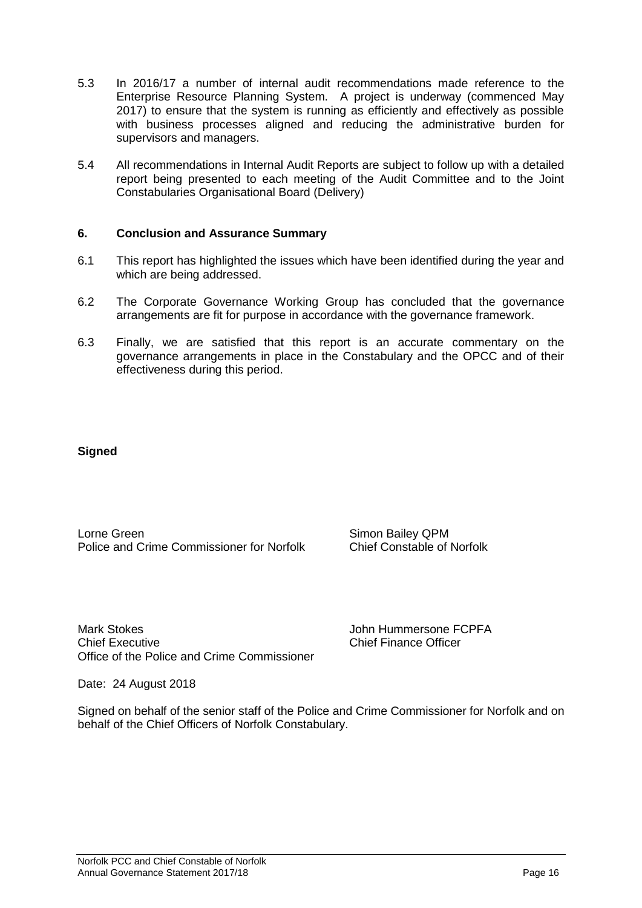- 5.3 In 2016/17 a number of internal audit recommendations made reference to the Enterprise Resource Planning System. A project is underway (commenced May 2017) to ensure that the system is running as efficiently and effectively as possible with business processes aligned and reducing the administrative burden for supervisors and managers.
- 5.4 All recommendations in Internal Audit Reports are subject to follow up with a detailed report being presented to each meeting of the Audit Committee and to the Joint Constabularies Organisational Board (Delivery)

#### **6. Conclusion and Assurance Summary**

- 6.1 This report has highlighted the issues which have been identified during the year and which are being addressed.
- 6.2 The Corporate Governance Working Group has concluded that the governance arrangements are fit for purpose in accordance with the governance framework.
- 6.3 Finally, we are satisfied that this report is an accurate commentary on the governance arrangements in place in the Constabulary and the OPCC and of their effectiveness during this period.

#### **Signed**

Lorne Green Simon Bailey QPM Police and Crime Commissioner for Norfolk Chief Constable of Norfolk

Mark Stokes **Mark Stokes** John Hummersone FCPFA Chief Executive Chief Finance Officer Office of the Police and Crime Commissioner

Date: 24 August 2018

Signed on behalf of the senior staff of the Police and Crime Commissioner for Norfolk and on behalf of the Chief Officers of Norfolk Constabulary.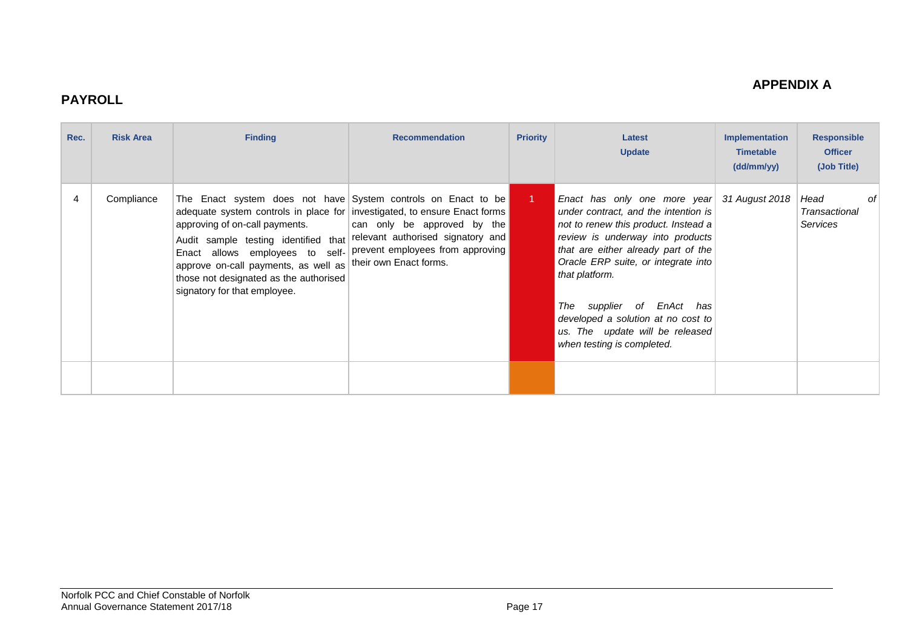## **PAYROLL**

## **APPENDIX A**

| Rec. | <b>Risk Area</b> | <b>Finding</b>                                                                                                                                                                                                                                                                                                                                                            | <b>Recommendation</b>                                                                                                                  | <b>Priority</b> | Latest<br><b>Update</b>                                                                                                                                                                                                                                                                                                                                                                                | Implementation<br><b>Timetable</b><br>(dd/mm/yy) | <b>Responsible</b><br><b>Officer</b><br>(Job Title) |
|------|------------------|---------------------------------------------------------------------------------------------------------------------------------------------------------------------------------------------------------------------------------------------------------------------------------------------------------------------------------------------------------------------------|----------------------------------------------------------------------------------------------------------------------------------------|-----------------|--------------------------------------------------------------------------------------------------------------------------------------------------------------------------------------------------------------------------------------------------------------------------------------------------------------------------------------------------------------------------------------------------------|--------------------------------------------------|-----------------------------------------------------|
| 4    | Compliance       | The Enact system does not have System controls on Enact to be<br>adequate system controls in place for investigated, to ensure Enact forms<br>approving of on-call payments.<br>Audit sample testing identified that<br>Enact allows employees to self-<br>approve on-call payments, as well as<br>those not designated as the authorised<br>signatory for that employee. | $\vert$ can only be approved by the<br>relevant authorised signatory and<br>prevent employees from approving<br>their own Enact forms. |                 | Enact has only one more year 31 August 2018<br>under contract, and the intention is<br>not to renew this product. Instead a<br>review is underway into products<br>that are either already part of the<br>Oracle ERP suite, or integrate into<br>that platform.<br>supplier of EnAct has<br>The<br>developed a solution at no cost to<br>us. The update will be released<br>when testing is completed. |                                                  | Head<br>Οt<br>Transactional<br><b>Services</b>      |
|      |                  |                                                                                                                                                                                                                                                                                                                                                                           |                                                                                                                                        |                 |                                                                                                                                                                                                                                                                                                                                                                                                        |                                                  |                                                     |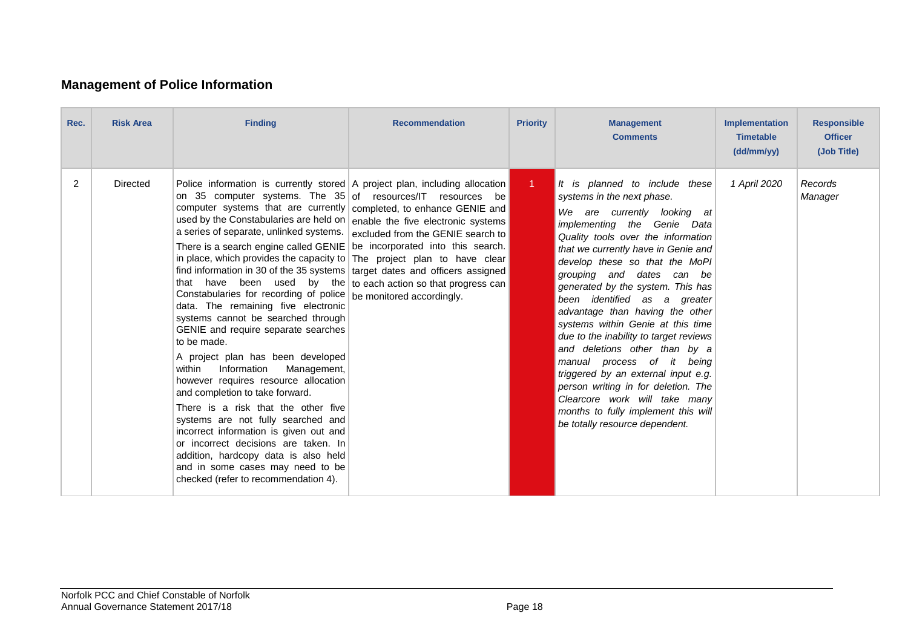# **Management of Police Information**

| Rec. | <b>Risk Area</b> | <b>Finding</b>                                                                                                                                                                                                                                                                                                                                                                                                                                                                                                                                                                                                                                                                                                                                                                                                                                                                                                                                                                                                                                                                                                                                                                                                                                                                                                               | <b>Recommendation</b>             | <b>Priority</b> | <b>Management</b><br><b>Comments</b>                                                                                                                                                                                                                                                                                                                                                                                                                                                                                                                                                                                                                                                                                           | <b>Implementation</b><br><b>Timetable</b><br>(dd/mm/yy) | <b>Responsible</b><br><b>Officer</b><br>(Job Title) |
|------|------------------|------------------------------------------------------------------------------------------------------------------------------------------------------------------------------------------------------------------------------------------------------------------------------------------------------------------------------------------------------------------------------------------------------------------------------------------------------------------------------------------------------------------------------------------------------------------------------------------------------------------------------------------------------------------------------------------------------------------------------------------------------------------------------------------------------------------------------------------------------------------------------------------------------------------------------------------------------------------------------------------------------------------------------------------------------------------------------------------------------------------------------------------------------------------------------------------------------------------------------------------------------------------------------------------------------------------------------|-----------------------------------|-----------------|--------------------------------------------------------------------------------------------------------------------------------------------------------------------------------------------------------------------------------------------------------------------------------------------------------------------------------------------------------------------------------------------------------------------------------------------------------------------------------------------------------------------------------------------------------------------------------------------------------------------------------------------------------------------------------------------------------------------------------|---------------------------------------------------------|-----------------------------------------------------|
| 2    | Directed         | Police information is currently stored $\vert$ A project plan, including allocation<br>on 35 computer systems. The $35$ of resources/IT resources be<br>computer systems that are currently completed, to enhance GENIE and<br>used by the Constabularies are held on $ $ enable the five electronic systems<br>a series of separate, unlinked systems.<br>There is a search engine called GENIE   be incorporated into this search.<br>in place, which provides the capacity to $ $ The project plan to have clear<br>find information in 30 of the 35 systems   target dates and officers assigned  <br>that have been used by the to each action so that progress can<br>Constabularies for recording of police   be monitored accordingly.<br>data. The remaining five electronic<br>systems cannot be searched through<br>GENIE and require separate searches<br>to be made.<br>A project plan has been developed<br>Information<br>Management,<br>within<br>however requires resource allocation<br>and completion to take forward.<br>There is a risk that the other five<br>systems are not fully searched and<br>incorrect information is given out and<br>or incorrect decisions are taken. In<br>addition, hardcopy data is also held<br>and in some cases may need to be<br>checked (refer to recommendation 4). | excluded from the GENIE search to | $\sim$ 1        | It is planned to include these<br>systems in the next phase.<br>We are currently looking at<br><i>implementing the Genie</i><br>Data<br>Quality tools over the information<br>that we currently have in Genie and<br>develop these so that the MoPI<br>grouping and dates can be<br>generated by the system. This has<br>been identified as a greater<br>advantage than having the other<br>systems within Genie at this time<br>due to the inability to target reviews<br>and deletions other than by a<br>manual process of it being<br>triggered by an external input e.g.<br>person writing in for deletion. The<br>Clearcore work will take many<br>months to fully implement this will<br>be totally resource dependent. | 1 April 2020                                            | Records<br>Manager                                  |